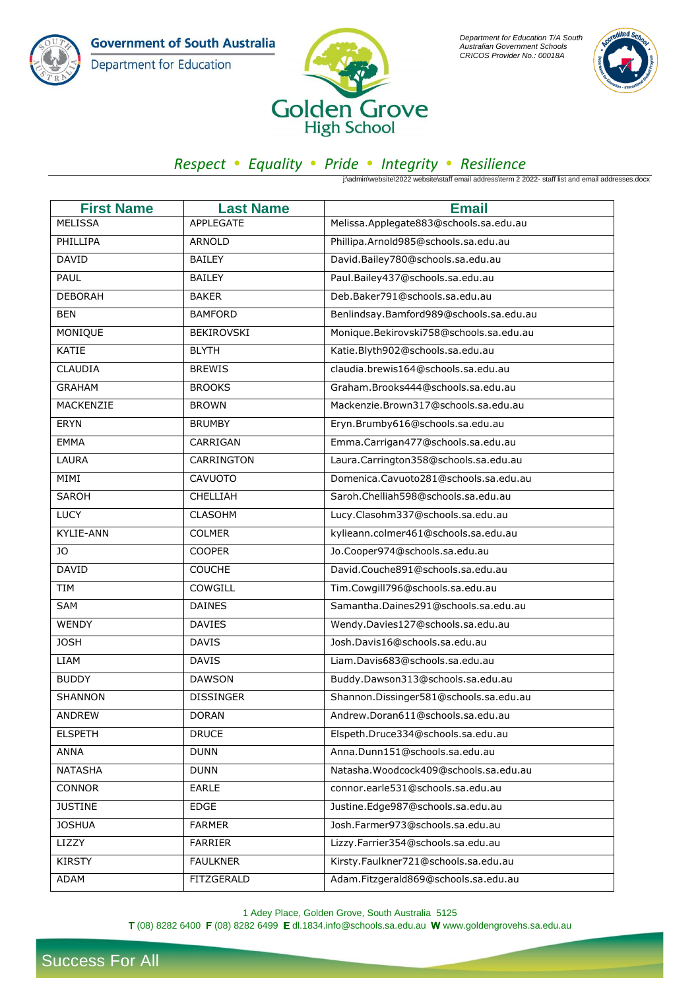**Government of South Australia** Department for Education



*Department for Education T/A South Australian Government Schools CRICOS Provider No.: 00018A*



## *Respect Equality Pride Integrity Resilience*

j:\admin\website\2022 website\staff email address\term 2 2022- staff list and email addresses.docx

| <b>First Name</b> | <b>Last Name</b>  | <b>Email</b>                            |
|-------------------|-------------------|-----------------------------------------|
| <b>MELISSA</b>    | <b>APPLEGATE</b>  | Melissa.Applegate883@schools.sa.edu.au  |
| PHILLIPA          | <b>ARNOLD</b>     | Phillipa.Arnold985@schools.sa.edu.au    |
| <b>DAVID</b>      | <b>BAILEY</b>     | David.Bailey780@schools.sa.edu.au       |
| PAUL              | <b>BAILEY</b>     | Paul.Bailey437@schools.sa.edu.au        |
| <b>DEBORAH</b>    | <b>BAKER</b>      | Deb.Baker791@schools.sa.edu.au          |
| <b>BEN</b>        | <b>BAMFORD</b>    | Benlindsay.Bamford989@schools.sa.edu.au |
| MONIQUE           | <b>BEKIROVSKI</b> | Monique.Bekirovski758@schools.sa.edu.au |
| KATIE             | <b>BLYTH</b>      | Katie.Blyth902@schools.sa.edu.au        |
| CLAUDIA           | <b>BREWIS</b>     | claudia.brewis164@schools.sa.edu.au     |
| <b>GRAHAM</b>     | <b>BROOKS</b>     | Graham.Brooks444@schools.sa.edu.au      |
| MACKENZIE         | <b>BROWN</b>      | Mackenzie.Brown317@schools.sa.edu.au    |
| <b>ERYN</b>       | <b>BRUMBY</b>     | Eryn.Brumby616@schools.sa.edu.au        |
| <b>EMMA</b>       | CARRIGAN          | Emma.Carrigan477@schools.sa.edu.au      |
| LAURA             | CARRINGTON        | Laura.Carrington358@schools.sa.edu.au   |
| MIMI              | CAVUOTO           | Domenica.Cavuoto281@schools.sa.edu.au   |
| <b>SAROH</b>      | <b>CHELLIAH</b>   | Saroh.Chelliah598@schools.sa.edu.au     |
| <b>LUCY</b>       | <b>CLASOHM</b>    | Lucy.Clasohm337@schools.sa.edu.au       |
| KYLIE-ANN         | <b>COLMER</b>     | kylieann.colmer461@schools.sa.edu.au    |
| JO                | <b>COOPER</b>     | Jo.Cooper974@schools.sa.edu.au          |
| <b>DAVID</b>      | <b>COUCHE</b>     | David.Couche891@schools.sa.edu.au       |
| TIM               | COWGILL           | Tim.Cowgill796@schools.sa.edu.au        |
| SAM               | <b>DAINES</b>     | Samantha.Daines291@schools.sa.edu.au    |
| WENDY             | <b>DAVIES</b>     | Wendy.Davies127@schools.sa.edu.au       |
| <b>JOSH</b>       | <b>DAVIS</b>      | Josh.Davis16@schools.sa.edu.au          |
| <b>LIAM</b>       | <b>DAVIS</b>      | Liam.Davis683@schools.sa.edu.au         |
| <b>BUDDY</b>      | <b>DAWSON</b>     | Buddy.Dawson313@schools.sa.edu.au       |
| SHANNON           | <b>DISSINGER</b>  | Shannon.Dissinger581@schools.sa.edu.au  |
| <b>ANDREW</b>     | <b>DORAN</b>      | Andrew.Doran611@schools.sa.edu.au       |
| <b>ELSPETH</b>    | <b>DRUCE</b>      | Elspeth.Druce334@schools.sa.edu.au      |
| ANNA              | <b>DUNN</b>       | Anna.Dunn151@schools.sa.edu.au          |
| <b>NATASHA</b>    | <b>DUNN</b>       | Natasha.Woodcock409@schools.sa.edu.au   |
| <b>CONNOR</b>     | <b>EARLE</b>      | connor.earle531@schools.sa.edu.au       |
| <b>JUSTINE</b>    | EDGE              | Justine.Edge987@schools.sa.edu.au       |
| <b>JOSHUA</b>     | <b>FARMER</b>     | Josh.Farmer973@schools.sa.edu.au        |
| LIZZY             | <b>FARRIER</b>    | Lizzy.Farrier354@schools.sa.edu.au      |
| <b>KIRSTY</b>     | <b>FAULKNER</b>   | Kirsty.Faulkner721@schools.sa.edu.au    |
| ADAM              | FITZGERALD        | Adam.Fitzgerald869@schools.sa.edu.au    |

1 Adey Place, Golden Grove, South Australia 5125  $T(08)$  8282 6400  $F(08)$  8282 6499  $E$  dl.1834.info@schools.sa.edu.au Www.goldengrovehs.sa.edu.au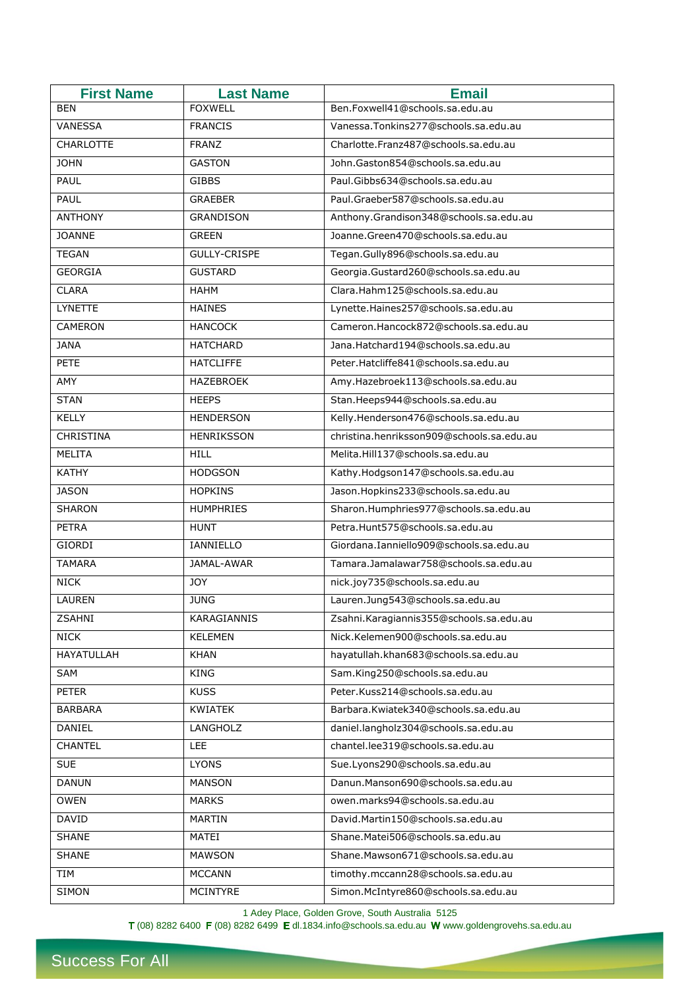| <b>First Name</b> | <b>Last Name</b>    | <b>Email</b>                              |
|-------------------|---------------------|-------------------------------------------|
| <b>BEN</b>        | <b>FOXWELL</b>      | Ben.Foxwell41@schools.sa.edu.au           |
| VANESSA           | <b>FRANCIS</b>      | Vanessa.Tonkins277@schools.sa.edu.au      |
| <b>CHARLOTTE</b>  | <b>FRANZ</b>        | Charlotte.Franz487@schools.sa.edu.au      |
| <b>JOHN</b>       | <b>GASTON</b>       | John.Gaston854@schools.sa.edu.au          |
| PAUL              | <b>GIBBS</b>        | Paul.Gibbs634@schools.sa.edu.au           |
| PAUL              | <b>GRAEBER</b>      | Paul.Graeber587@schools.sa.edu.au         |
| <b>ANTHONY</b>    | GRANDISON           | Anthony.Grandison348@schools.sa.edu.au    |
| <b>JOANNE</b>     | <b>GREEN</b>        | Joanne.Green470@schools.sa.edu.au         |
| <b>TEGAN</b>      | <b>GULLY-CRISPE</b> | Tegan.Gully896@schools.sa.edu.au          |
| <b>GEORGIA</b>    | <b>GUSTARD</b>      | Georgia.Gustard260@schools.sa.edu.au      |
| <b>CLARA</b>      | HAHM                | Clara.Hahm125@schools.sa.edu.au           |
| <b>LYNETTE</b>    | <b>HAINES</b>       | Lynette.Haines257@schools.sa.edu.au       |
| <b>CAMERON</b>    | <b>HANCOCK</b>      | Cameron.Hancock872@schools.sa.edu.au      |
| <b>JANA</b>       | <b>HATCHARD</b>     | Jana.Hatchard194@schools.sa.edu.au        |
| PETE              | <b>HATCLIFFE</b>    | Peter.Hatcliffe841@schools.sa.edu.au      |
| AMY               | HAZEBROEK           | Amy.Hazebroek113@schools.sa.edu.au        |
| <b>STAN</b>       | <b>HEEPS</b>        | Stan.Heeps944@schools.sa.edu.au           |
| <b>KELLY</b>      | <b>HENDERSON</b>    | Kelly.Henderson476@schools.sa.edu.au      |
| <b>CHRISTINA</b>  | <b>HENRIKSSON</b>   | christina.henriksson909@schools.sa.edu.au |
| <b>MELITA</b>     | <b>HILL</b>         | Melita.Hill137@schools.sa.edu.au          |
| <b>KATHY</b>      | <b>HODGSON</b>      | Kathy.Hodgson147@schools.sa.edu.au        |
| <b>JASON</b>      | <b>HOPKINS</b>      | Jason.Hopkins233@schools.sa.edu.au        |
| SHARON            | <b>HUMPHRIES</b>    | Sharon.Humphries977@schools.sa.edu.au     |
| <b>PETRA</b>      | <b>HUNT</b>         | Petra.Hunt575@schools.sa.edu.au           |
| <b>GIORDI</b>     | IANNIELLO           | Giordana.Ianniello909@schools.sa.edu.au   |
| <b>TAMARA</b>     | JAMAL-AWAR          | Tamara.Jamalawar758@schools.sa.edu.au     |
| <b>NICK</b>       | <b>JOY</b>          | nick.joy735@schools.sa.edu.au             |
| <b>LAUREN</b>     | <b>JUNG</b>         | Lauren.Jung543@schools.sa.edu.au          |
| <b>ZSAHNI</b>     | KARAGIANNIS         | Zsahni.Karagiannis355@schools.sa.edu.au   |
| <b>NICK</b>       | <b>KELEMEN</b>      | Nick.Kelemen900@schools.sa.edu.au         |
| <b>HAYATULLAH</b> | <b>KHAN</b>         | hayatullah.khan683@schools.sa.edu.au      |
| SAM               | <b>KING</b>         | Sam.King250@schools.sa.edu.au             |
| <b>PETER</b>      | <b>KUSS</b>         | Peter.Kuss214@schools.sa.edu.au           |
| <b>BARBARA</b>    | KWIATEK             | Barbara.Kwiatek340@schools.sa.edu.au      |
| DANIEL            | LANGHOLZ            | daniel.langholz304@schools.sa.edu.au      |
| <b>CHANTEL</b>    | LEE                 | chantel.lee319@schools.sa.edu.au          |
| <b>SUE</b>        | <b>LYONS</b>        | Sue.Lyons290@schools.sa.edu.au            |
| <b>DANUN</b>      | <b>MANSON</b>       | Danun.Manson690@schools.sa.edu.au         |
| <b>OWEN</b>       | <b>MARKS</b>        | owen.marks94@schools.sa.edu.au            |
| DAVID             | MARTIN              | David.Martin150@schools.sa.edu.au         |
| <b>SHANE</b>      | MATEI               | Shane.Matei506@schools.sa.edu.au          |
| <b>SHANE</b>      | <b>MAWSON</b>       | Shane.Mawson671@schools.sa.edu.au         |
| TIM               | <b>MCCANN</b>       | timothy.mccann28@schools.sa.edu.au        |
| SIMON             | <b>MCINTYRE</b>     | Simon.McIntyre860@schools.sa.edu.au       |

1 Adey Place, Golden Grove, South Australia 5125

(08) 8282 6400  $\mathsf F$  (08) 8282 6499  $\mathsf E$  dl.1834.info@schools.sa.edu.au Www.goldengrovehs.sa.edu.au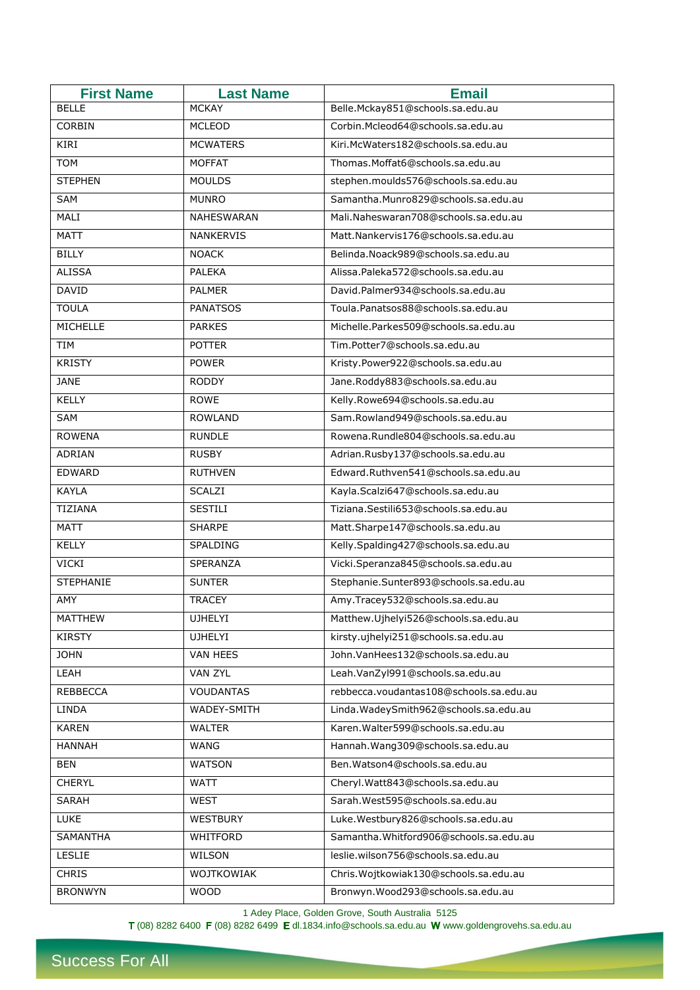| <b>First Name</b> | <b>Last Name</b>  | <b>Email</b>                            |
|-------------------|-------------------|-----------------------------------------|
| <b>BELLE</b>      | <b>MCKAY</b>      | Belle.Mckay851@schools.sa.edu.au        |
| CORBIN            | <b>MCLEOD</b>     | Corbin.Mcleod64@schools.sa.edu.au       |
| KIRI              | <b>MCWATERS</b>   | Kiri.McWaters182@schools.sa.edu.au      |
| <b>TOM</b>        | <b>MOFFAT</b>     | Thomas.Moffat6@schools.sa.edu.au        |
| <b>STEPHEN</b>    | <b>MOULDS</b>     | stephen.moulds576@schools.sa.edu.au     |
| SAM               | <b>MUNRO</b>      | Samantha.Munro829@schools.sa.edu.au     |
| <b>MALI</b>       | <b>NAHESWARAN</b> | Mali.Naheswaran708@schools.sa.edu.au    |
| <b>MATT</b>       | <b>NANKERVIS</b>  | Matt.Nankervis176@schools.sa.edu.au     |
| <b>BILLY</b>      | <b>NOACK</b>      | Belinda.Noack989@schools.sa.edu.au      |
| <b>ALISSA</b>     | <b>PALEKA</b>     | Alissa.Paleka572@schools.sa.edu.au      |
| <b>DAVID</b>      | <b>PALMER</b>     | David.Palmer934@schools.sa.edu.au       |
| <b>TOULA</b>      | <b>PANATSOS</b>   | Toula.Panatsos88@schools.sa.edu.au      |
| <b>MICHELLE</b>   | <b>PARKES</b>     | Michelle.Parkes509@schools.sa.edu.au    |
| TIM               | <b>POTTER</b>     | Tim.Potter7@schools.sa.edu.au           |
| <b>KRISTY</b>     | <b>POWER</b>      | Kristy.Power922@schools.sa.edu.au       |
| <b>JANE</b>       | <b>RODDY</b>      | Jane.Roddy883@schools.sa.edu.au         |
| KELLY             | <b>ROWE</b>       | Kelly.Rowe694@schools.sa.edu.au         |
| SAM               | <b>ROWLAND</b>    | Sam.Rowland949@schools.sa.edu.au        |
| <b>ROWENA</b>     | <b>RUNDLE</b>     | Rowena.Rundle804@schools.sa.edu.au      |
| ADRIAN            | <b>RUSBY</b>      | Adrian.Rusby137@schools.sa.edu.au       |
| EDWARD            | <b>RUTHVEN</b>    | Edward.Ruthven541@schools.sa.edu.au     |
| <b>KAYLA</b>      | SCALZI            | Kayla.Scalzi647@schools.sa.edu.au       |
| TIZIANA           | <b>SESTILI</b>    | Tiziana.Sestili653@schools.sa.edu.au    |
| <b>MATT</b>       | <b>SHARPE</b>     | Matt.Sharpe147@schools.sa.edu.au        |
| <b>KELLY</b>      | SPALDING          | Kelly.Spalding427@schools.sa.edu.au     |
| VICKI             | <b>SPERANZA</b>   | Vicki.Speranza845@schools.sa.edu.au     |
| <b>STEPHANIE</b>  | <b>SUNTER</b>     | Stephanie.Sunter893@schools.sa.edu.au   |
| AMY               | <b>TRACEY</b>     | Amy.Tracey532@schools.sa.edu.au         |
| MATTHEW           | <b>UJHELYI</b>    | Matthew.Ujhelyi526@schools.sa.edu.au    |
| <b>KIRSTY</b>     | <b>UJHELYI</b>    | kirsty.ujhelyi251@schools.sa.edu.au     |
| <b>JOHN</b>       | VAN HEES          | John.VanHees132@schools.sa.edu.au       |
| LEAH              | <b>VAN ZYL</b>    | Leah.VanZyl991@schools.sa.edu.au        |
| REBBECCA          | <b>VOUDANTAS</b>  | rebbecca.voudantas108@schools.sa.edu.au |
| LINDA             | WADEY-SMITH       | Linda.WadeySmith962@schools.sa.edu.au   |
| <b>KAREN</b>      | <b>WALTER</b>     | Karen. Walter 599@schools.sa.edu.au     |
| HANNAH            | WANG              | Hannah. Wang 309@schools.sa.edu.au      |
| BEN               | <b>WATSON</b>     | Ben.Watson4@schools.sa.edu.au           |
| <b>CHERYL</b>     | WATT              | Cheryl.Watt843@schools.sa.edu.au        |
| <b>SARAH</b>      | <b>WEST</b>       | Sarah.West595@schools.sa.edu.au         |
| <b>LUKE</b>       | WESTBURY          | Luke.Westbury826@schools.sa.edu.au      |
| <b>SAMANTHA</b>   | WHITFORD          | Samantha.Whitford906@schools.sa.edu.au  |
| LESLIE            | WILSON            | leslie.wilson756@schools.sa.edu.au      |
| <b>CHRIS</b>      | WOJTKOWIAK        | Chris.Wojtkowiak130@schools.sa.edu.au   |
| <b>BRONWYN</b>    | <b>WOOD</b>       | Bronwyn.Wood293@schools.sa.edu.au       |

1 Adey Place, Golden Grove, South Australia 5125

(08) 8282 6400  $\mathsf F$  (08) 8282 6499  $\mathsf E$  dl.1834.info@schools.sa.edu.au Www.goldengrovehs.sa.edu.au